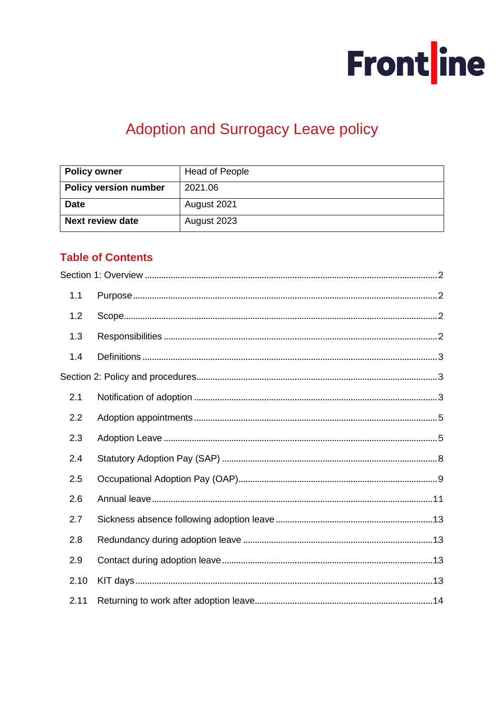

# Adoption and Surrogacy Leave policy

| <b>Policy owner</b>          | <b>Head of People</b> |  |
|------------------------------|-----------------------|--|
| <b>Policy version number</b> | 2021.06               |  |
| <b>Date</b>                  | August 2021           |  |
| <b>Next review date</b>      | August 2023           |  |

# **Table of Contents**

| 1.1  |  |
|------|--|
| 1.2  |  |
| 1.3  |  |
| 1.4  |  |
|      |  |
| 2.1  |  |
| 2.2  |  |
| 2.3  |  |
| 2.4  |  |
| 2.5  |  |
| 2.6  |  |
| 2.7  |  |
| 2.8  |  |
| 2.9  |  |
| 2.10 |  |
| 2.11 |  |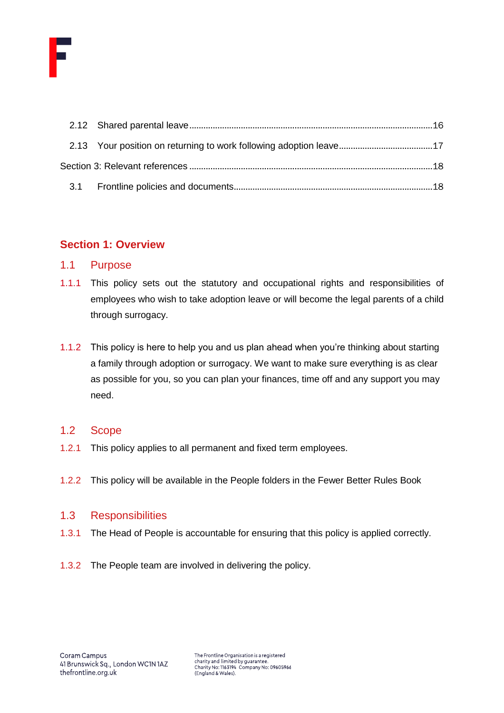

# <span id="page-1-0"></span>**Section 1: Overview**

## <span id="page-1-1"></span>1.1 Purpose

- 1.1.1 This policy sets out the statutory and occupational rights and responsibilities of employees who wish to take adoption leave or will become the legal parents of a child through surrogacy.
- 1.1.2 This policy is here to help you and us plan ahead when you're thinking about starting a family through adoption or surrogacy. We want to make sure everything is as clear as possible for you, so you can plan your finances, time off and any support you may need.

### <span id="page-1-2"></span>1.2 Scope

- 1.2.1 This policy applies to all permanent and fixed term employees.
- 1.2.2 This policy will be available in the People folders in the Fewer Better Rules Book

### <span id="page-1-3"></span>1.3 Responsibilities

- 1.3.1 The Head of People is accountable for ensuring that this policy is applied correctly.
- 1.3.2 The People team are involved in delivering the policy.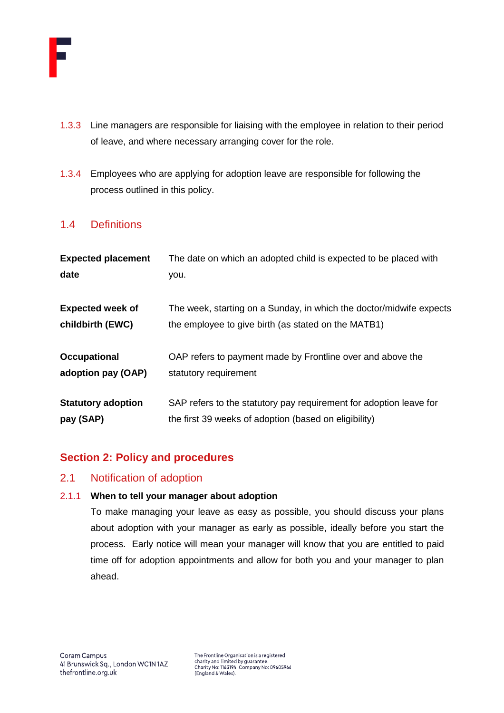

- 1.3.3 Line managers are responsible for liaising with the employee in relation to their period of leave, and where necessary arranging cover for the role.
- 1.3.4 Employees who are applying for adoption leave are responsible for following the process outlined in this policy.

# <span id="page-2-0"></span>1.4 Definitions

| The date on which an adopted child is expected to be placed with    |  |
|---------------------------------------------------------------------|--|
|                                                                     |  |
| The week, starting on a Sunday, in which the doctor/midwife expects |  |
| the employee to give birth (as stated on the MATB1)                 |  |
| OAP refers to payment made by Frontline over and above the          |  |
|                                                                     |  |
| SAP refers to the statutory pay requirement for adoption leave for  |  |
|                                                                     |  |

# <span id="page-2-1"></span>**Section 2: Policy and procedures**

## <span id="page-2-2"></span>2.1 Notification of adoption

### 2.1.1 **When to tell your manager about adoption**

To make managing your leave as easy as possible, you should discuss your plans about adoption with your manager as early as possible, ideally before you start the process. Early notice will mean your manager will know that you are entitled to paid time off for adoption appointments and allow for both you and your manager to plan ahead.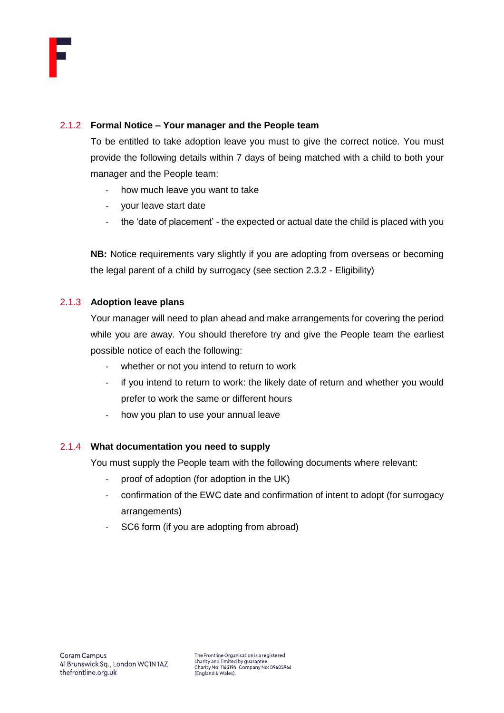

#### 2.1.2 **Formal Notice – Your manager and the People team**

To be entitled to take adoption leave you must to give the correct notice. You must provide the following details within 7 days of being matched with a child to both your manager and the People team:

- how much leave you want to take
- your leave start date
- the 'date of placement' the expected or actual date the child is placed with you

**NB:** Notice requirements vary slightly if you are adopting from overseas or becoming the legal parent of a child by surrogacy (see section 2.3.2 - Eligibility)

#### 2.1.3 **Adoption leave plans**

Your manager will need to plan ahead and make arrangements for covering the period while you are away. You should therefore try and give the People team the earliest possible notice of each the following:

- whether or not you intend to return to work
- if you intend to return to work: the likely date of return and whether you would prefer to work the same or different hours
- how you plan to use your annual leave

#### 2.1.4 **What documentation you need to supply**

You must supply the People team with the following documents where relevant:

- proof of adoption (for adoption in the UK)
- confirmation of the EWC date and confirmation of intent to adopt (for surrogacy arrangements)
- SC6 form (if you are adopting from abroad)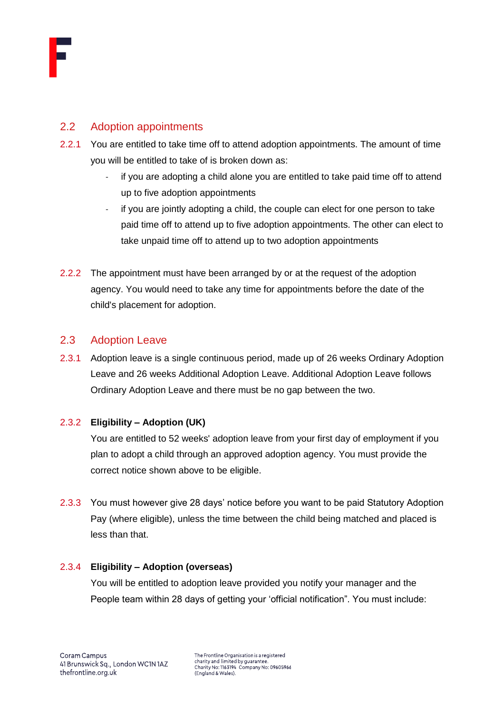

# <span id="page-4-0"></span>2.2 Adoption appointments

- 2.2.1 You are entitled to take time off to attend adoption appointments. The amount of time you will be entitled to take of is broken down as:
	- if you are adopting a child alone you are entitled to take paid time off to attend up to five adoption appointments
	- if you are jointly adopting a child, the couple can elect for one person to take paid time off to attend up to five adoption appointments. The other can elect to take unpaid time off to attend up to two adoption appointments
- 2.2.2 The appointment must have been arranged by or at the request of the adoption agency. You would need to take any time for appointments before the date of the child's placement for adoption.

# <span id="page-4-1"></span>2.3 Adoption Leave

2.3.1 Adoption leave is a single continuous period, made up of 26 weeks Ordinary Adoption Leave and 26 weeks Additional Adoption Leave. Additional Adoption Leave follows Ordinary Adoption Leave and there must be no gap between the two.

### 2.3.2 **Eligibility – Adoption (UK)**

You are entitled to 52 weeks' adoption leave from your first day of employment if you plan to adopt a child through an approved adoption agency. You must provide the correct notice shown above to be eligible.

2.3.3 You must however give 28 days' notice before you want to be paid Statutory Adoption Pay (where eligible), unless the time between the child being matched and placed is less than that.

### 2.3.4 **Eligibility – Adoption (overseas)**

You will be entitled to adoption leave provided you notify your manager and the People team within 28 days of getting your 'official notification". You must include: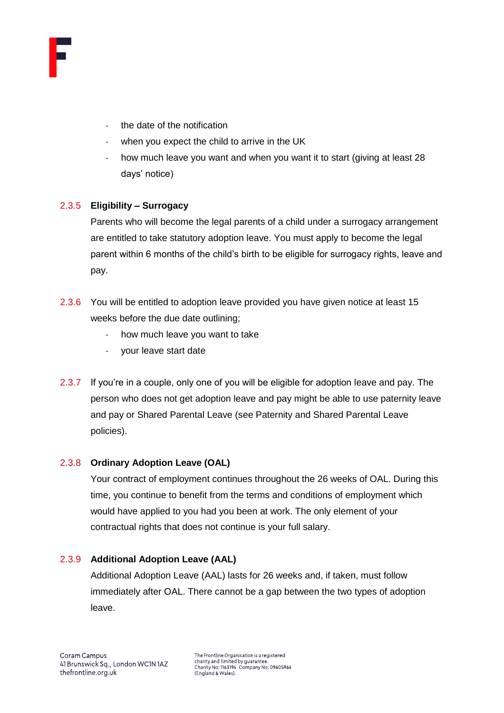

- the date of the notification
- when you expect the child to arrive in the UK
- how much leave you want and when you want it to start (giving at least 28 days' notice)

## 2.3.5 **Eligibility – Surrogacy**

Parents who will become the legal parents of a child under a surrogacy arrangement are entitled to take statutory adoption leave. You must apply to become the legal parent within 6 months of the child's birth to be eligible for surrogacy rights, leave and pay.

- 2.3.6 You will be entitled to adoption leave provided you have given notice at least 15 weeks before the due date outlining;
	- how much leave you want to take
	- your leave start date
- 2.3.7 If you're in a couple, only one of you will be eligible for adoption leave and pay. The person who does not get adoption leave and pay might be able to use paternity leave and pay or Shared Parental Leave (see Paternity and Shared Parental Leave policies).

### 2.3.8 **Ordinary Adoption Leave (OAL)**

Your contract of employment continues throughout the 26 weeks of OAL. During this time, you continue to benefit from the terms and conditions of employment which would have applied to you had you been at work. The only element of your contractual rights that does not continue is your full salary.

### 2.3.9 **Additional Adoption Leave (AAL)**

Additional Adoption Leave (AAL) lasts for 26 weeks and, if taken, must follow immediately after OAL. There cannot be a gap between the two types of adoption leave.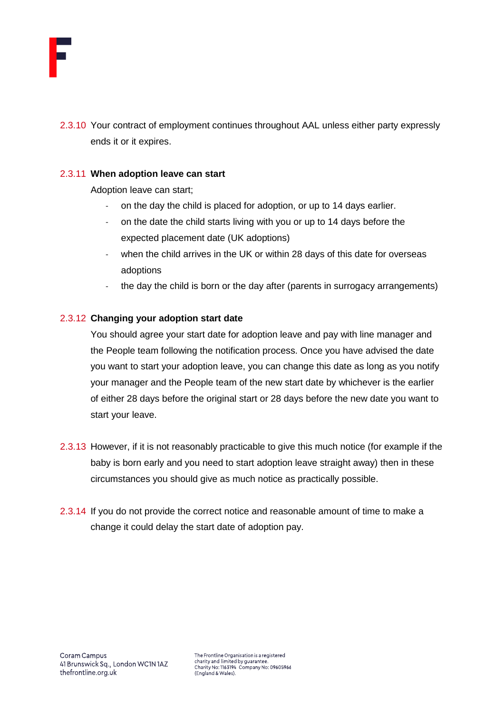

2.3.10 Your contract of employment continues throughout AAL unless either party expressly ends it or it expires.

#### 2.3.11 **When adoption leave can start**

Adoption leave can start;

- on the day the child is placed for adoption, or up to 14 days earlier.
- on the date the child starts living with you or up to 14 days before the expected placement date (UK adoptions)
- when the child arrives in the UK or within 28 days of this date for overseas adoptions
- the day the child is born or the day after (parents in surrogacy arrangements)

#### 2.3.12 **Changing your adoption start date**

You should agree your start date for adoption leave and pay with line manager and the People team following the notification process. Once you have advised the date you want to start your adoption leave, you can change this date as long as you notify your manager and the People team of the new start date by whichever is the earlier of either 28 days before the original start or 28 days before the new date you want to start your leave.

- 2.3.13 However, if it is not reasonably practicable to give this much notice (for example if the baby is born early and you need to start adoption leave straight away) then in these circumstances you should give as much notice as practically possible.
- 2.3.14 If you do not provide the correct notice and reasonable amount of time to make a change it could delay the start date of adoption pay.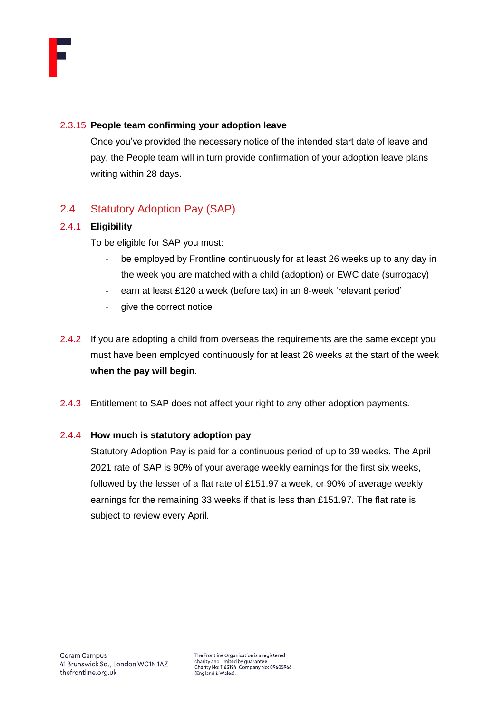

#### 2.3.15 **People team confirming your adoption leave**

Once you've provided the necessary notice of the intended start date of leave and pay, the People team will in turn provide confirmation of your adoption leave plans writing within 28 days.

# <span id="page-7-0"></span>2.4 Statutory Adoption Pay (SAP)

### 2.4.1 **Eligibility**

To be eligible for SAP you must:

- be employed by Frontline continuously for at least 26 weeks up to any day in the week you are matched with a child (adoption) or EWC date (surrogacy)
- earn at least £120 a week (before tax) in an 8-week 'relevant period'
- give the correct notice
- 2.4.2 If you are adopting a child from overseas the requirements are the same except you must have been employed continuously for at least 26 weeks at the start of the week **when the pay will begin**.
- 2.4.3 Entitlement to SAP does not affect your right to any other adoption payments.

### 2.4.4 **How much is statutory adoption pay**

Statutory Adoption Pay is paid for a continuous period of up to 39 weeks. The April 2021 rate of SAP is 90% of your average weekly earnings for the first six weeks, followed by the lesser of a flat rate of £151.97 a week, or 90% of average weekly earnings for the remaining 33 weeks if that is less than £151.97. The flat rate is subject to review every April.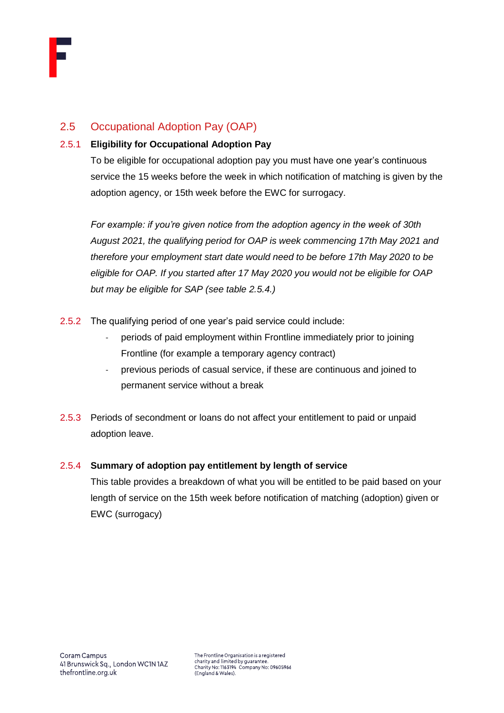

# <span id="page-8-0"></span>2.5 Occupational Adoption Pay (OAP)

## 2.5.1 **Eligibility for Occupational Adoption Pay**

To be eligible for occupational adoption pay you must have one year's continuous service the 15 weeks before the week in which notification of matching is given by the adoption agency, or 15th week before the EWC for surrogacy.

*For example: if you're given notice from the adoption agency in the week of 30th August 2021, the qualifying period for OAP is week commencing 17th May 2021 and therefore your employment start date would need to be before 17th May 2020 to be eligible for OAP. If you started after 17 May 2020 you would not be eligible for OAP but may be eligible for SAP (see table 2.5.4.)*

- 2.5.2 The qualifying period of one year's paid service could include:
	- periods of paid employment within Frontline immediately prior to joining Frontline (for example a temporary agency contract)
	- previous periods of casual service, if these are continuous and joined to permanent service without a break
- 2.5.3 Periods of secondment or loans do not affect your entitlement to paid or unpaid adoption leave.

### 2.5.4 **Summary of adoption pay entitlement by length of service**

This table provides a breakdown of what you will be entitled to be paid based on your length of service on the 15th week before notification of matching (adoption) given or EWC (surrogacy)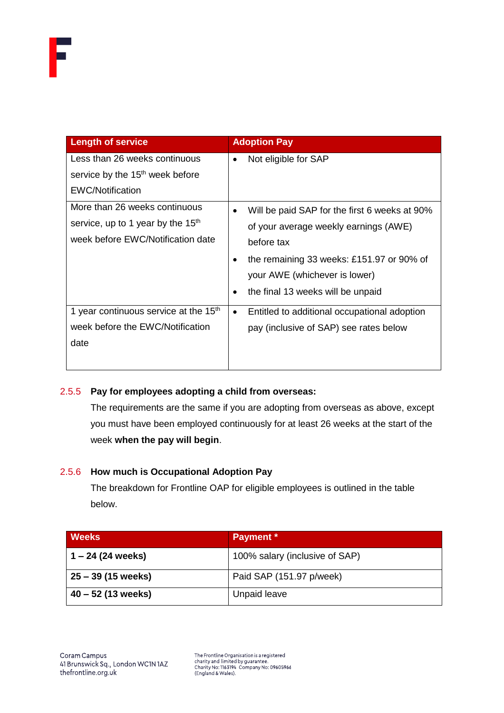| <b>Length of service</b>                                                           | <b>Adoption Pay</b>                                        |
|------------------------------------------------------------------------------------|------------------------------------------------------------|
| Less than 26 weeks continuous                                                      | Not eligible for SAP<br>$\bullet$                          |
| service by the 15 <sup>th</sup> week before                                        |                                                            |
| <b>EWC/Notification</b>                                                            |                                                            |
| More than 26 weeks continuous                                                      | Will be paid SAP for the first 6 weeks at 90%<br>$\bullet$ |
| service, up to 1 year by the 15 <sup>th</sup><br>week before EWC/Notification date | of your average weekly earnings (AWE)                      |
|                                                                                    | before tax                                                 |
|                                                                                    | the remaining 33 weeks: £151.97 or 90% of<br>$\bullet$     |
|                                                                                    | your AWE (whichever is lower)                              |
|                                                                                    | the final 13 weeks will be unpaid<br>٠                     |
| 1 year continuous service at the 15 <sup>th</sup>                                  | Entitled to additional occupational adoption<br>$\bullet$  |
| week before the EWC/Notification                                                   | pay (inclusive of SAP) see rates below                     |
| date                                                                               |                                                            |
|                                                                                    |                                                            |

### 2.5.5 **Pay for employees adopting a child from overseas:**

The requirements are the same if you are adopting from overseas as above, except you must have been employed continuously for at least 26 weeks at the start of the week **when the pay will begin**.

### 2.5.6 **How much is Occupational Adoption Pay**

The breakdown for Frontline OAP for eligible employees is outlined in the table below.

| <b>Weeks</b>         | Payment *                      |
|----------------------|--------------------------------|
| $1 - 24$ (24 weeks)  | 100% salary (inclusive of SAP) |
| 25 – 39 (15 weeks)   | Paid SAP (151.97 p/week)       |
| $40 - 52$ (13 weeks) | Unpaid leave                   |

The Frontline Organisation is a registered<br>charity and limited by guarantee.<br>Charity No: 1163194 Company No: 09605966<br>(England & Wales).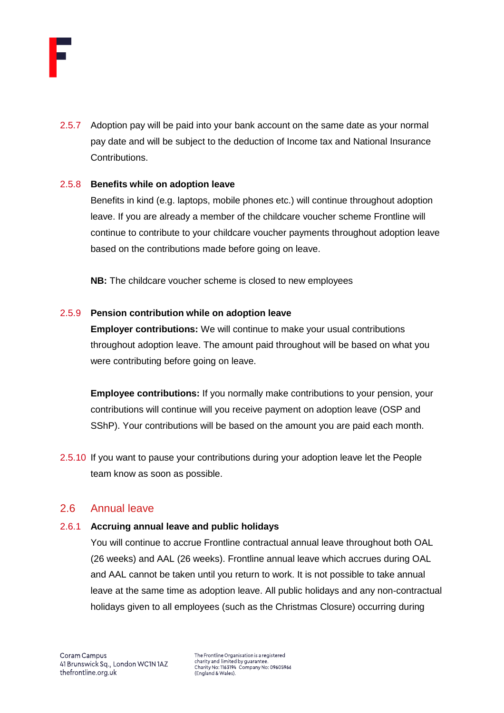

2.5.7 Adoption pay will be paid into your bank account on the same date as your normal pay date and will be subject to the deduction of Income tax and National Insurance Contributions.

#### 2.5.8 **Benefits while on adoption leave**

Benefits in kind (e.g. laptops, mobile phones etc.) will continue throughout adoption leave. If you are already a member of the childcare voucher scheme Frontline will continue to contribute to your childcare voucher payments throughout adoption leave based on the contributions made before going on leave.

**NB:** The childcare voucher scheme is closed to new employees

#### 2.5.9 **Pension contribution while on adoption leave**

**Employer contributions:** We will continue to make your usual contributions throughout adoption leave. The amount paid throughout will be based on what you were contributing before going on leave.

**Employee contributions:** If you normally make contributions to your pension, your contributions will continue will you receive payment on adoption leave (OSP and SShP). Your contributions will be based on the amount you are paid each month.

2.5.10 If you want to pause your contributions during your adoption leave let the People team know as soon as possible.

## <span id="page-10-0"></span>2.6 Annual leave

#### 2.6.1 **Accruing annual leave and public holidays**

You will continue to accrue Frontline contractual annual leave throughout both OAL (26 weeks) and AAL (26 weeks). Frontline annual leave which accrues during OAL and AAL cannot be taken until you return to work. It is not possible to take annual leave at the same time as adoption leave. All public holidays and any non-contractual holidays given to all employees (such as the Christmas Closure) occurring during

The Frontline Organisation is a registered charity and limited by guarantee Charity No: 1163194 Company No: 09605966<br>(England & Wales).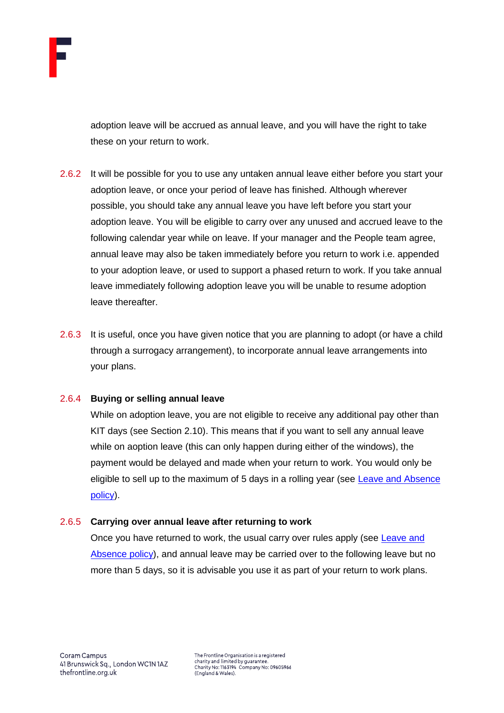

adoption leave will be accrued as annual leave, and you will have the right to take these on your return to work.

- 2.6.2 It will be possible for you to use any untaken annual leave either before you start your adoption leave, or once your period of leave has finished. Although wherever possible, you should take any annual leave you have left before you start your adoption leave. You will be eligible to carry over any unused and accrued leave to the following calendar year while on leave. If your manager and the People team agree, annual leave may also be taken immediately before you return to work i.e. appended to your adoption leave, or used to support a phased return to work. If you take annual leave immediately following adoption leave you will be unable to resume adoption leave thereafter.
- 2.6.3 It is useful, once you have given notice that you are planning to adopt (or have a child through a surrogacy arrangement), to incorporate annual leave arrangements into your plans.

#### 2.6.4 **Buying or selling annual leave**

While on adoption leave, you are not eligible to receive any additional pay other than KIT days (see Section 2.10). This means that if you want to sell any annual leave while on aoption leave (this can only happen during either of the windows), the payment would be delayed and made when your return to work. You would only be eligible to sell up to the maximum of 5 days in a rolling year (see [Leave and Absence](https://thefrontline.sharepoint.com/sites/FBRB/Shared%20Documents/Operations/People/General/Leave%20and%20Absence%20Policy%20-%202021.04.pdf)  [policy\)](https://thefrontline.sharepoint.com/sites/FBRB/Shared%20Documents/Operations/People/General/Leave%20and%20Absence%20Policy%20-%202021.04.pdf).

#### 2.6.5 **Carrying over annual leave after returning to work**

Once you have returned to work, the usual carry over rules apply (see Leave and [Absence policy\)](https://thefrontline.sharepoint.com/sites/FBRB/Shared%20Documents/Operations/People/General/Leave%20and%20Absence%20Policy%20-%202021.04.pdf), and annual leave may be carried over to the following leave but no more than 5 days, so it is advisable you use it as part of your return to work plans.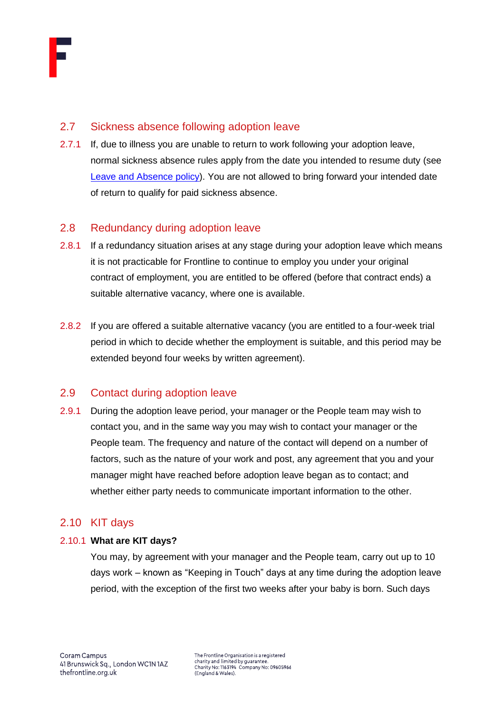

# <span id="page-12-0"></span>2.7 Sickness absence following adoption leave

2.7.1 If, due to illness you are unable to return to work following your adoption leave, normal sickness absence rules apply from the date you intended to resume duty (see [Leave and Absence policy\)](https://thefrontline.sharepoint.com/sites/FBRB/Shared%20Documents/Operations/People/General/Leave%20and%20Absence%20Policy%20-%202021.04.pdf). You are not allowed to bring forward your intended date of return to qualify for paid sickness absence.

# <span id="page-12-1"></span>2.8 Redundancy during adoption leave

- 2.8.1 If a redundancy situation arises at any stage during your adoption leave which means it is not practicable for Frontline to continue to employ you under your original contract of employment, you are entitled to be offered (before that contract ends) a suitable alternative vacancy, where one is available.
- 2.8.2 If you are offered a suitable alternative vacancy (you are entitled to a four-week trial period in which to decide whether the employment is suitable, and this period may be extended beyond four weeks by written agreement).

# <span id="page-12-2"></span>2.9 Contact during adoption leave

2.9.1 During the adoption leave period, your manager or the People team may wish to contact you, and in the same way you may wish to contact your manager or the People team. The frequency and nature of the contact will depend on a number of factors, such as the nature of your work and post, any agreement that you and your manager might have reached before adoption leave began as to contact; and whether either party needs to communicate important information to the other.

# <span id="page-12-3"></span>2.10 KIT days

### 2.10.1 **What are KIT days?**

You may, by agreement with your manager and the People team, carry out up to 10 days work – known as "Keeping in Touch" days at any time during the adoption leave period, with the exception of the first two weeks after your baby is born. Such days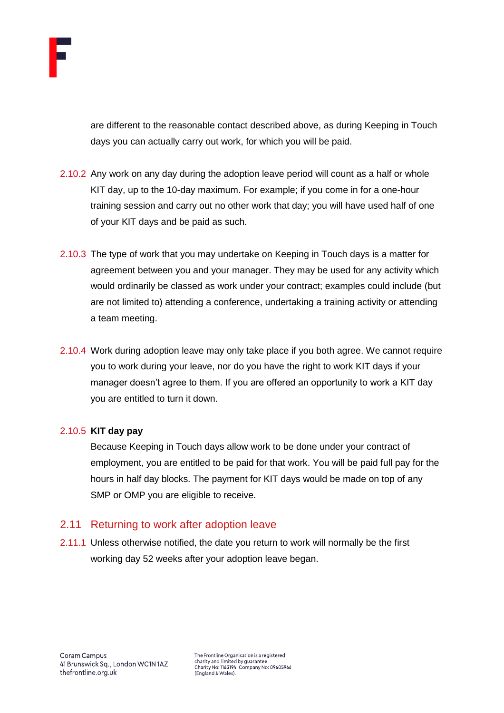

are different to the reasonable contact described above, as during Keeping in Touch days you can actually carry out work, for which you will be paid.

- 2.10.2 Any work on any day during the adoption leave period will count as a half or whole KIT day, up to the 10-day maximum. For example; if you come in for a one-hour training session and carry out no other work that day; you will have used half of one of your KIT days and be paid as such.
- 2.10.3 The type of work that you may undertake on Keeping in Touch days is a matter for agreement between you and your manager. They may be used for any activity which would ordinarily be classed as work under your contract; examples could include (but are not limited to) attending a conference, undertaking a training activity or attending a team meeting.
- 2.10.4 Work during adoption leave may only take place if you both agree. We cannot require you to work during your leave, nor do you have the right to work KIT days if your manager doesn't agree to them. If you are offered an opportunity to work a KIT day you are entitled to turn it down.

#### 2.10.5 **KIT day pay**

Because Keeping in Touch days allow work to be done under your contract of employment, you are entitled to be paid for that work. You will be paid full pay for the hours in half day blocks. The payment for KIT days would be made on top of any SMP or OMP you are eligible to receive.

### <span id="page-13-0"></span>2.11 Returning to work after adoption leave

2.11.1 Unless otherwise notified, the date you return to work will normally be the first working day 52 weeks after your adoption leave began.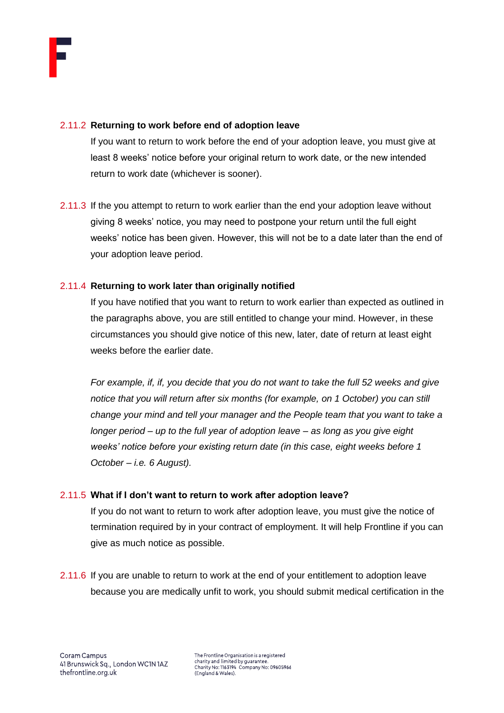#### 2.11.2 **Returning to work before end of adoption leave**

If you want to return to work before the end of your adoption leave, you must give at least 8 weeks' notice before your original return to work date, or the new intended return to work date (whichever is sooner).

2.11.3 If the you attempt to return to work earlier than the end your adoption leave without giving 8 weeks' notice, you may need to postpone your return until the full eight weeks' notice has been given. However, this will not be to a date later than the end of your adoption leave period.

### 2.11.4 **Returning to work later than originally notified**

If you have notified that you want to return to work earlier than expected as outlined in the paragraphs above, you are still entitled to change your mind. However, in these circumstances you should give notice of this new, later, date of return at least eight weeks before the earlier date.

*For example, if, if, you decide that you do not want to take the full 52 weeks and give notice that you will return after six months (for example, on 1 October) you can still change your mind and tell your manager and the People team that you want to take a longer period – up to the full year of adoption leave – as long as you give eight weeks' notice before your existing return date (in this case, eight weeks before 1 October – i.e. 6 August).* 

### 2.11.5 **What if I don't want to return to work after adoption leave?**

If you do not want to return to work after adoption leave, you must give the notice of termination required by in your contract of employment. It will help Frontline if you can give as much notice as possible.

2.11.6 If you are unable to return to work at the end of your entitlement to adoption leave because you are medically unfit to work, you should submit medical certification in the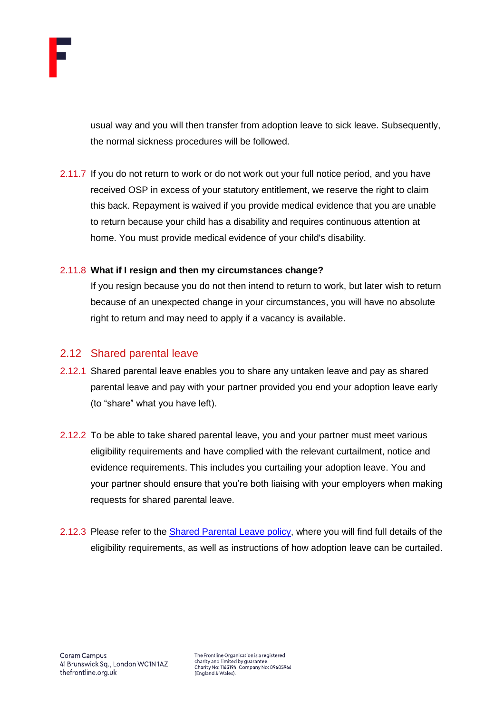

usual way and you will then transfer from adoption leave to sick leave. Subsequently, the normal sickness procedures will be followed.

2.11.7 If you do not return to work or do not work out your full notice period, and you have received OSP in excess of your statutory entitlement, we reserve the right to claim this back. Repayment is waived if you provide medical evidence that you are unable to return because your child has a disability and requires continuous attention at home. You must provide medical evidence of your child's disability.

### 2.11.8 **What if I resign and then my circumstances change?**

If you resign because you do not then intend to return to work, but later wish to return because of an unexpected change in your circumstances, you will have no absolute right to return and may need to apply if a vacancy is available.

## <span id="page-15-0"></span>2.12 Shared parental leave

- 2.12.1 Shared parental leave enables you to share any untaken leave and pay as shared parental leave and pay with your partner provided you end your adoption leave early (to "share" what you have left).
- 2.12.2 To be able to take shared parental leave, you and your partner must meet various eligibility requirements and have complied with the relevant curtailment, notice and evidence requirements. This includes you curtailing your adoption leave. You and your partner should ensure that you're both liaising with your employers when making requests for shared parental leave.
- 2.12.3 Please refer to the **Shared Parental Leave policy**, where you will find full details of the eligibility requirements, as well as instructions of how adoption leave can be curtailed.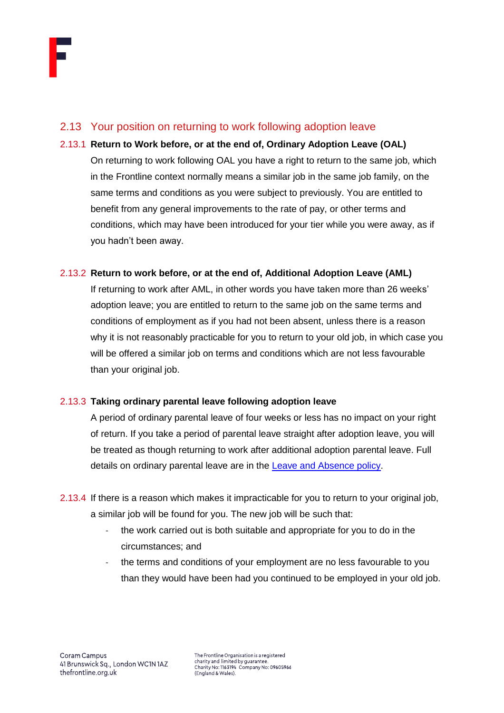## <span id="page-16-0"></span>2.13 Your position on returning to work following adoption leave

2.13.1 **Return to Work before, or at the end of, Ordinary Adoption Leave (OAL)**  On returning to work following OAL you have a right to return to the same job, which in the Frontline context normally means a similar job in the same job family, on the same terms and conditions as you were subject to previously. You are entitled to benefit from any general improvements to the rate of pay, or other terms and conditions, which may have been introduced for your tier while you were away, as if you hadn't been away.

### 2.13.2 **Return to work before, or at the end of, Additional Adoption Leave (AML)**

If returning to work after AML, in other words you have taken more than 26 weeks' adoption leave; you are entitled to return to the same job on the same terms and conditions of employment as if you had not been absent, unless there is a reason why it is not reasonably practicable for you to return to your old job, in which case you will be offered a similar job on terms and conditions which are not less favourable than your original job.

### 2.13.3 **Taking ordinary parental leave following adoption leave**

A period of ordinary parental leave of four weeks or less has no impact on your right of return. If you take a period of parental leave straight after adoption leave, you will be treated as though returning to work after additional adoption parental leave. Full details on ordinary parental leave are in the **Leave and Absence policy**.

- 2.13.4 If there is a reason which makes it impracticable for you to return to your original job, a similar job will be found for you. The new job will be such that:
	- the work carried out is both suitable and appropriate for you to do in the circumstances; and
	- the terms and conditions of your employment are no less favourable to you than they would have been had you continued to be employed in your old job.